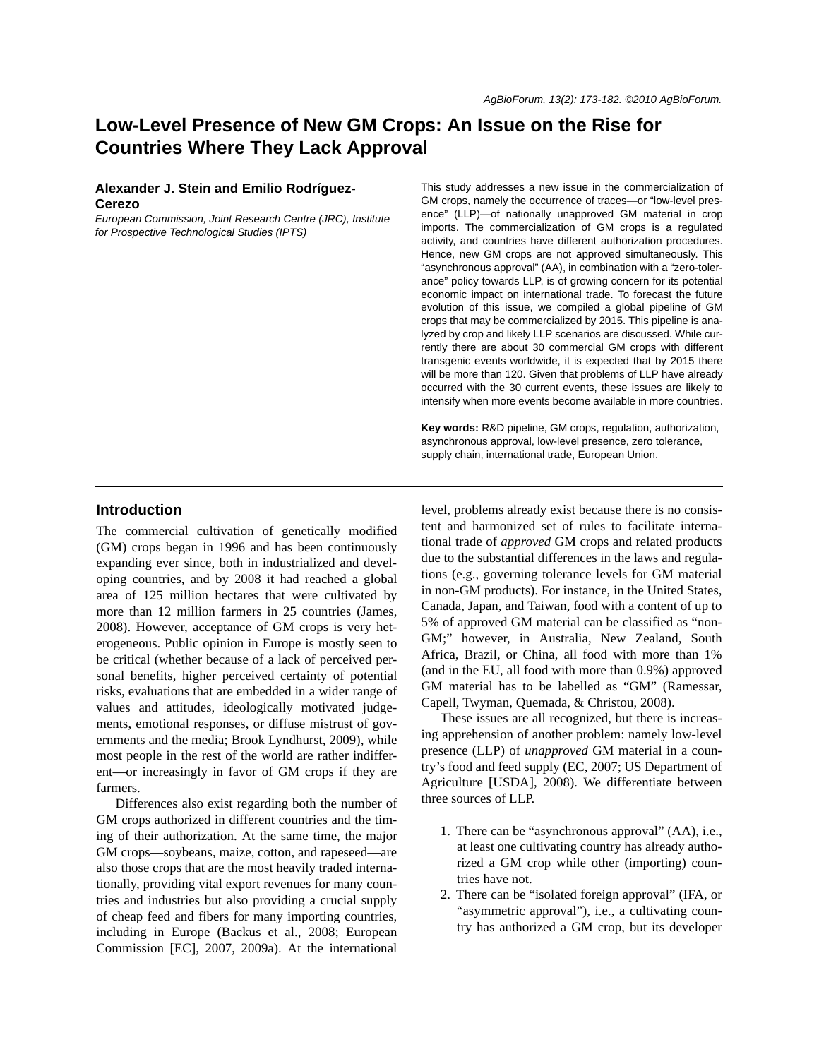# **Low-Level Presence of New GM Crops: An Issue on the Rise for Countries Where They Lack Approval**

## **Alexander J. Stein and Emilio Rodríguez-Cerezo**

*European Commission, Joint Research Centre (JRC), Institute for Prospective Technological Studies (IPTS)*

This study addresses a new issue in the commercialization of GM crops, namely the occurrence of traces—or "low-level presence" (LLP)—of nationally unapproved GM material in crop imports. The commercialization of GM crops is a regulated activity, and countries have different authorization procedures. Hence, new GM crops are not approved simultaneously. This "asynchronous approval" (AA), in combination with a "zero-tolerance" policy towards LLP, is of growing concern for its potential economic impact on international trade. To forecast the future evolution of this issue, we compiled a global pipeline of GM crops that may be commercialized by 2015. This pipeline is analyzed by crop and likely LLP scenarios are discussed. While currently there are about 30 commercial GM crops with different transgenic events worldwide, it is expected that by 2015 there will be more than 120. Given that problems of LLP have already occurred with the 30 current events, these issues are likely to intensify when more events become available in more countries.

**Key words:** R&D pipeline, GM crops, regulation, authorization, asynchronous approval, low-level presence, zero tolerance, supply chain, international trade, European Union.

#### **Introduction**

The commercial cultivation of genetically modified (GM) crops began in 1996 and has been continuously expanding ever since, both in industrialized and developing countries, and by 2008 it had reached a global area of 125 million hectares that were cultivated by more than 12 million farmers in 25 countries (James, 2008). However, acceptance of GM crops is very heterogeneous. Public opinion in Europe is mostly seen to be critical (whether because of a lack of perceived personal benefits, higher perceived certainty of potential risks, evaluations that are embedded in a wider range of values and attitudes, ideologically motivated judgements, emotional responses, or diffuse mistrust of governments and the media; Brook Lyndhurst, 2009), while most people in the rest of the world are rather indifferent—or increasingly in favor of GM crops if they are farmers.

Differences also exist regarding both the number of GM crops authorized in different countries and the timing of their authorization. At the same time, the major GM crops—soybeans, maize, cotton, and rapeseed—are also those crops that are the most heavily traded internationally, providing vital export revenues for many countries and industries but also providing a crucial supply of cheap feed and fibers for many importing countries, including in Europe (Backus et al., 2008; European Commission [EC], 2007, 2009a). At the international

level, problems already exist because there is no consistent and harmonized set of rules to facilitate international trade of *approved* GM crops and related products due to the substantial differences in the laws and regulations (e.g., governing tolerance levels for GM material in non-GM products). For instance, in the United States, Canada, Japan, and Taiwan, food with a content of up to 5% of approved GM material can be classified as "non-GM;" however, in Australia, New Zealand, South Africa, Brazil, or China, all food with more than 1% (and in the EU, all food with more than 0.9%) approved GM material has to be labelled as "GM" (Ramessar, Capell, Twyman, Quemada, & Christou, 2008).

These issues are all recognized, but there is increasing apprehension of another problem: namely low-level presence (LLP) of *unapproved* GM material in a country's food and feed supply (EC, 2007; US Department of Agriculture [USDA], 2008). We differentiate between three sources of LLP.

- 1. There can be "asynchronous approval" (AA), i.e., at least one cultivating country has already authorized a GM crop while other (importing) countries have not.
- 2. There can be "isolated foreign approval" (IFA, or "asymmetric approval"), i.e., a cultivating country has authorized a GM crop, but its developer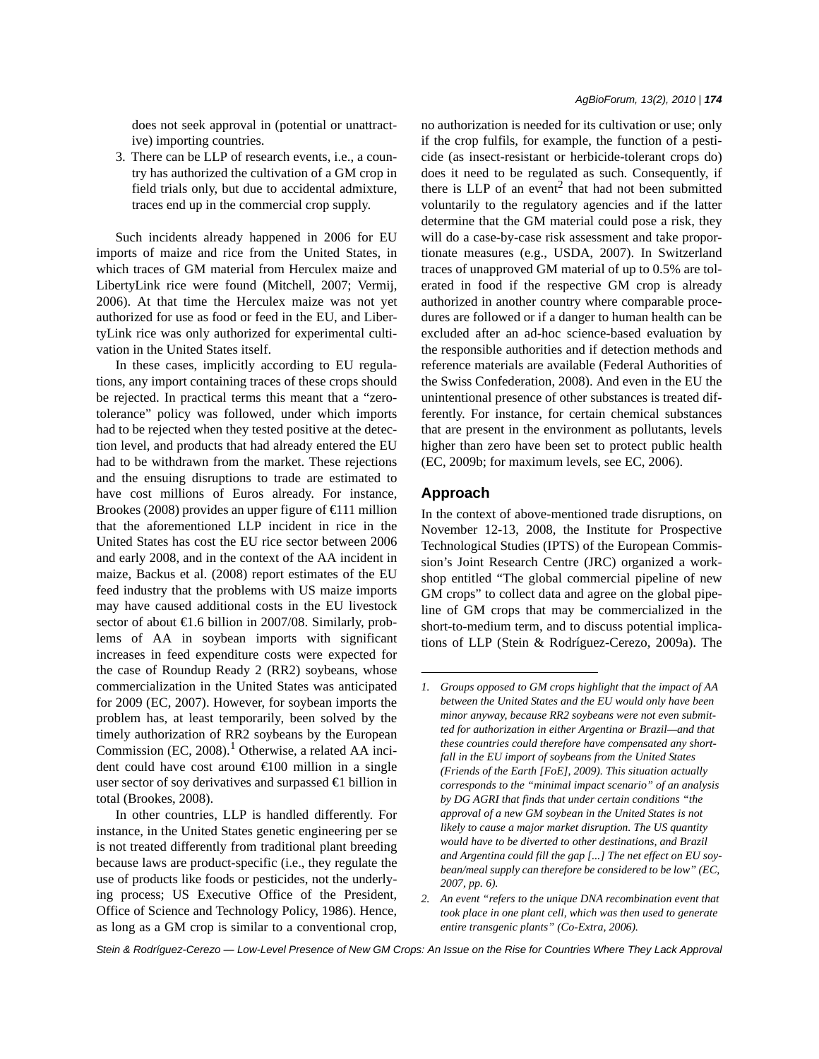does not seek approval in (potential or unattractive) importing countries.

3. There can be LLP of research events, i.e., a country has authorized the cultivation of a GM crop in field trials only, but due to accidental admixture, traces end up in the commercial crop supply.

Such incidents already happened in 2006 for EU imports of maize and rice from the United States, in which traces of GM material from Herculex maize and LibertyLink rice were found (Mitchell, 2007; Vermij, 2006). At that time the Herculex maize was not yet authorized for use as food or feed in the EU, and LibertyLink rice was only authorized for experimental cultivation in the United States itself.

In these cases, implicitly according to EU regulations, any import containing traces of these crops should be rejected. In practical terms this meant that a "zerotolerance" policy was followed, under which imports had to be rejected when they tested positive at the detection level, and products that had already entered the EU had to be withdrawn from the market. These rejections and the ensuing disruptions to trade are estimated to have cost millions of Euros already. For instance, Brookes (2008) provides an upper figure of  $\in$  11 million that the aforementioned LLP incident in rice in the United States has cost the EU rice sector between 2006 and early 2008, and in the context of the AA incident in maize, Backus et al. (2008) report estimates of the EU feed industry that the problems with US maize imports may have caused additional costs in the EU livestock sector of about €1.6 billion in 2007/08. Similarly, problems of AA in soybean imports with significant increases in feed expenditure costs were expected for the case of Roundup Ready 2 (RR2) soybeans, whose commercialization in the United States was anticipated for 2009 (EC, 2007). However, for soybean imports the problem has, at least temporarily, been solved by the timely authorization of RR2 soybeans by the European Commission  $(EC, 2008).$ <sup>1</sup> Otherwise, a related AA incident could have cost around €100 million in a single user sector of soy derivatives and surpassed €1 billion in total (Brookes, 2008).

In other countries, LLP is handled differently. For instance, in the United States genetic engineering per se is not treated differently from traditional plant breeding because laws are product-specific (i.e., they regulate the use of products like foods or pesticides, not the underlying process; US Executive Office of the President, Office of Science and Technology Policy, 1986). Hence, as long as a GM crop is similar to a conventional crop, no authorization is needed for its cultivation or use; only if the crop fulfils, for example, the function of a pesticide (as insect-resistant or herbicide-tolerant crops do) does it need to be regulated as such. Consequently, if there is LLP of an event<sup>2</sup> that had not been submitted voluntarily to the regulatory agencies and if the latter determine that the GM material could pose a risk, they will do a case-by-case risk assessment and take proportionate measures (e.g., USDA, 2007). In Switzerland traces of unapproved GM material of up to 0.5% are tolerated in food if the respective GM crop is already authorized in another country where comparable procedures are followed or if a danger to human health can be excluded after an ad-hoc science-based evaluation by the responsible authorities and if detection methods and reference materials are available (Federal Authorities of the Swiss Confederation, 2008). And even in the EU the unintentional presence of other substances is treated differently. For instance, for certain chemical substances that are present in the environment as pollutants, levels higher than zero have been set to protect public health (EC, 2009b; for maximum levels, see EC, 2006).

#### **Approach**

In the context of above-mentioned trade disruptions, on November 12-13, 2008, the Institute for Prospective Technological Studies (IPTS) of the European Commission's Joint Research Centre (JRC) organized a workshop entitled "The global commercial pipeline of new GM crops" to collect data and agree on the global pipeline of GM crops that may be commercialized in the short-to-medium term, and to discuss potential implications of LLP (Stein & Rodríguez-Cerezo, 2009a). The

*<sup>1.</sup> Groups opposed to GM crops highlight that the impact of AA between the United States and the EU would only have been minor anyway, because RR2 soybeans were not even submitted for authorization in either Argentina or Brazil—and that these countries could therefore have compensated any shortfall in the EU import of soybeans from the United States (Friends of the Earth [FoE], 2009). This situation actually corresponds to the "minimal impact scenario" of an analysis by DG AGRI that finds that under certain conditions "the approval of a new GM soybean in the United States is not likely to cause a major market disruption. The US quantity would have to be diverted to other destinations, and Brazil and Argentina could fill the gap [...] The net effect on EU soybean/meal supply can therefore be considered to be low" (EC, 2007, pp. 6).*

*<sup>2.</sup> An event "refers to the unique DNA recombination event that took place in one plant cell, which was then used to generate entire transgenic plants" (Co-Extra, 2006).*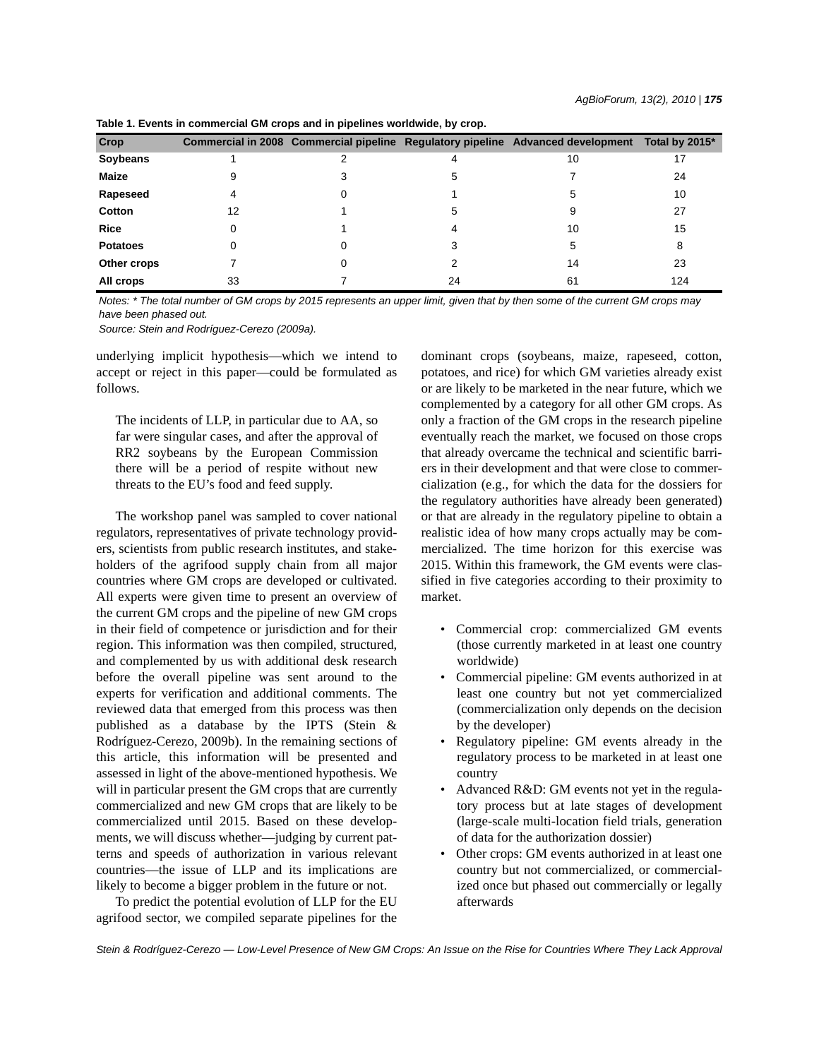| Crop            |    |    | Commercial in 2008 Commercial pipeline Regulatory pipeline Advanced development | Total by 2015* |
|-----------------|----|----|---------------------------------------------------------------------------------|----------------|
| Soybeans        |    | 4  | 10                                                                              | 17             |
| Maize           |    | 5  |                                                                                 | 24             |
| Rapeseed        |    |    | 5                                                                               | 10             |
| Cotton          | 12 | 5  |                                                                                 | 27             |
| <b>Rice</b>     |    |    | 10                                                                              | 15             |
| <b>Potatoes</b> |    |    | 5                                                                               | 8              |
| Other crops     |    |    | 14                                                                              | 23             |
| All crops       | 33 | 24 | 61                                                                              | 124            |

**Table 1. Events in commercial GM crops and in pipelines worldwide, by crop.**

*Notes: \* The total number of GM crops by 2015 represents an upper limit, given that by then some of the current GM crops may have been phased out.*

*Source: Stein and Rodríguez-Cerezo (2009a).*

underlying implicit hypothesis—which we intend to accept or reject in this paper—could be formulated as follows.

The incidents of LLP, in particular due to AA, so far were singular cases, and after the approval of RR2 soybeans by the European Commission there will be a period of respite without new threats to the EU's food and feed supply.

The workshop panel was sampled to cover national regulators, representatives of private technology providers, scientists from public research institutes, and stakeholders of the agrifood supply chain from all major countries where GM crops are developed or cultivated. All experts were given time to present an overview of the current GM crops and the pipeline of new GM crops in their field of competence or jurisdiction and for their region. This information was then compiled, structured, and complemented by us with additional desk research before the overall pipeline was sent around to the experts for verification and additional comments. The reviewed data that emerged from this process was then published as a database by the IPTS (Stein & Rodríguez-Cerezo, 2009b). In the remaining sections of this article, this information will be presented and assessed in light of the above-mentioned hypothesis. We will in particular present the GM crops that are currently commercialized and new GM crops that are likely to be commercialized until 2015. Based on these developments, we will discuss whether—judging by current patterns and speeds of authorization in various relevant countries—the issue of LLP and its implications are likely to become a bigger problem in the future or not.

To predict the potential evolution of LLP for the EU agrifood sector, we compiled separate pipelines for the dominant crops (soybeans, maize, rapeseed, cotton, potatoes, and rice) for which GM varieties already exist or are likely to be marketed in the near future, which we complemented by a category for all other GM crops. As only a fraction of the GM crops in the research pipeline eventually reach the market, we focused on those crops that already overcame the technical and scientific barriers in their development and that were close to commercialization (e.g., for which the data for the dossiers for the regulatory authorities have already been generated) or that are already in the regulatory pipeline to obtain a realistic idea of how many crops actually may be commercialized. The time horizon for this exercise was 2015. Within this framework, the GM events were classified in five categories according to their proximity to market.

- Commercial crop: commercialized GM events (those currently marketed in at least one country worldwide)
- Commercial pipeline: GM events authorized in at least one country but not yet commercialized (commercialization only depends on the decision by the developer)
- Regulatory pipeline: GM events already in the regulatory process to be marketed in at least one country
- Advanced R&D: GM events not yet in the regulatory process but at late stages of development (large-scale multi-location field trials, generation of data for the authorization dossier)
- Other crops: GM events authorized in at least one country but not commercialized, or commercialized once but phased out commercially or legally afterwards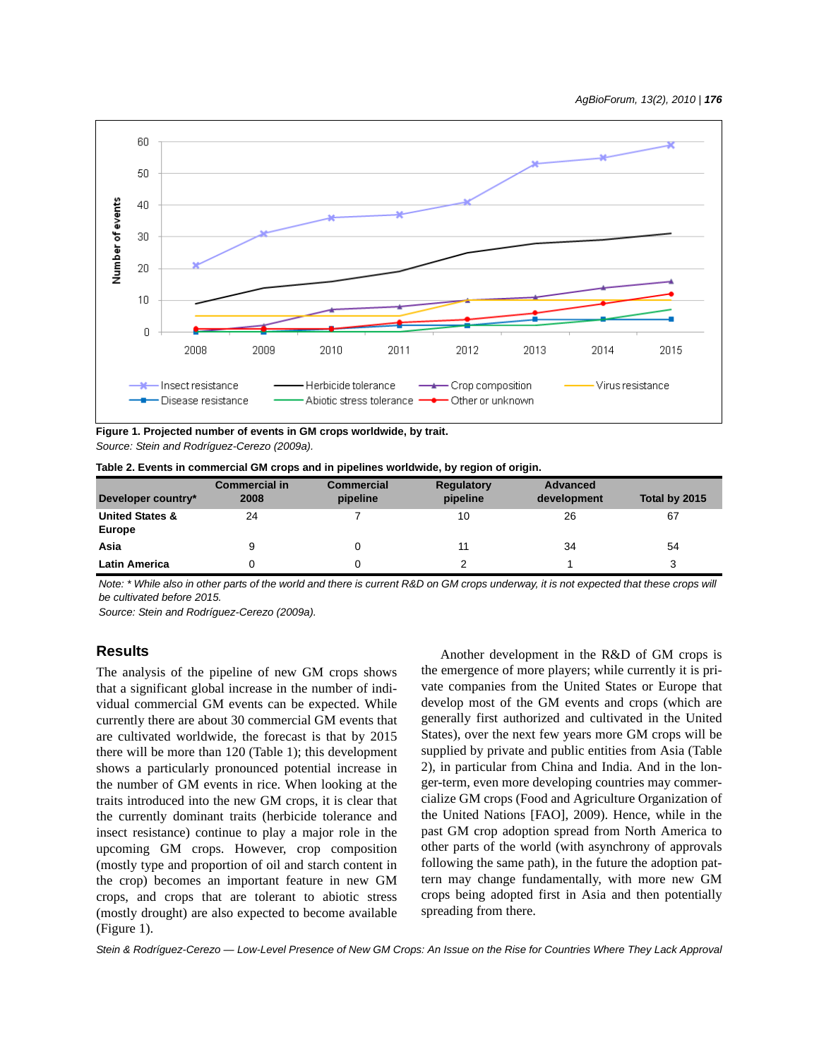

**Figure 1. Projected number of events in GM crops worldwide, by trait.** *Source: Stein and Rodríguez-Cerezo (2009a).*

|  | Table 2. Events in commercial GM crops and in pipelines worldwide, by region of origin. |
|--|-----------------------------------------------------------------------------------------|
|--|-----------------------------------------------------------------------------------------|

| Developer country*                          | <b>Commercial in</b><br>2008 | <b>Commercial</b><br>pipeline | <b>Regulatory</b><br>pipeline | <b>Advanced</b><br>development | Total by 2015 |
|---------------------------------------------|------------------------------|-------------------------------|-------------------------------|--------------------------------|---------------|
| <b>United States &amp;</b><br><b>Europe</b> | 24                           |                               | 10                            | 26                             | 67            |
| Asia                                        | 9                            |                               | 11                            | 34                             | 54            |
| <b>Latin America</b>                        |                              |                               | $\mathcal{P}$                 |                                |               |

*Note: \* While also in other parts of the world and there is current R&D on GM crops underway, it is not expected that these crops will be cultivated before 2015.*

*Source: Stein and Rodríguez-Cerezo (2009a).*

# **Results**

The analysis of the pipeline of new GM crops shows that a significant global increase in the number of individual commercial GM events can be expected. While currently there are about 30 commercial GM events that are cultivated worldwide, the forecast is that by 2015 there will be more than 120 (Table 1); this development shows a particularly pronounced potential increase in the number of GM events in rice. When looking at the traits introduced into the new GM crops, it is clear that the currently dominant traits (herbicide tolerance and insect resistance) continue to play a major role in the upcoming GM crops. However, crop composition (mostly type and proportion of oil and starch content in the crop) becomes an important feature in new GM crops, and crops that are tolerant to abiotic stress (mostly drought) are also expected to become available (Figure 1).

Another development in the R&D of GM crops is the emergence of more players; while currently it is private companies from the United States or Europe that develop most of the GM events and crops (which are generally first authorized and cultivated in the United States), over the next few years more GM crops will be supplied by private and public entities from Asia (Table 2), in particular from China and India. And in the longer-term, even more developing countries may commercialize GM crops (Food and Agriculture Organization of the United Nations [FAO], 2009). Hence, while in the past GM crop adoption spread from North America to other parts of the world (with asynchrony of approvals following the same path), in the future the adoption pattern may change fundamentally, with more new GM crops being adopted first in Asia and then potentially spreading from there.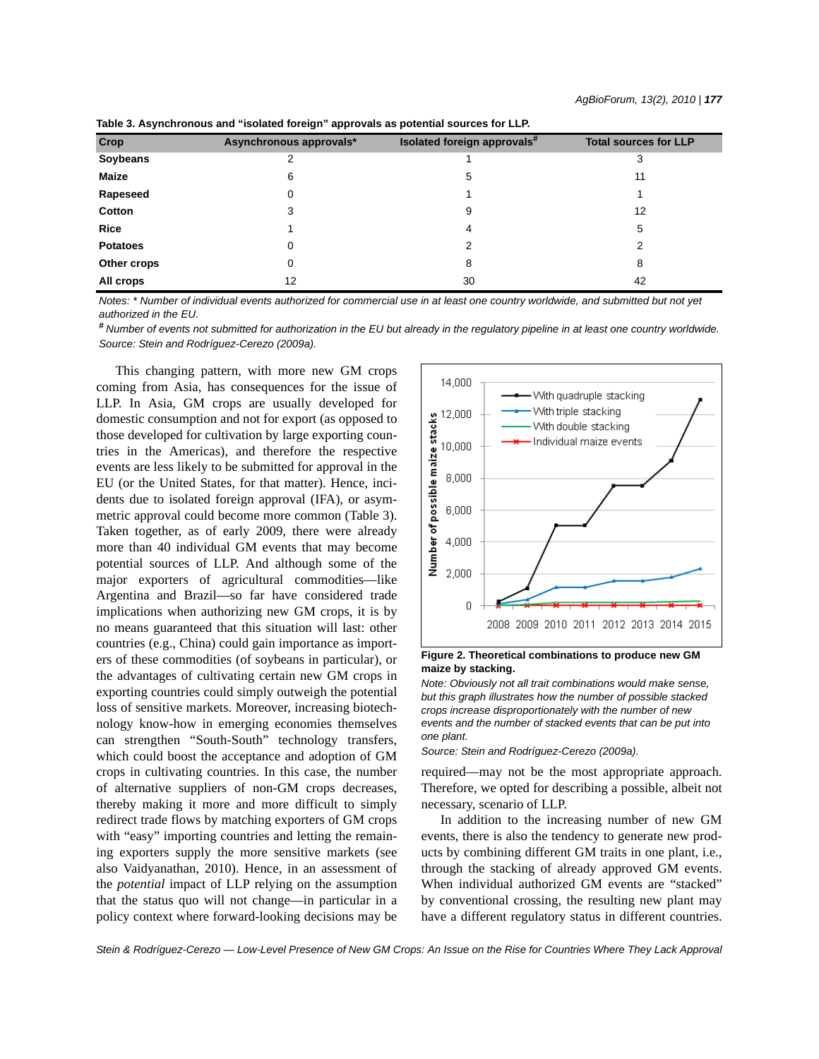| <b>Crop</b>     | Asynchronous approvals* | Isolated foreign approvals# | <b>Total sources for LLP</b> |
|-----------------|-------------------------|-----------------------------|------------------------------|
| Soybeans        |                         |                             | 3                            |
| Maize           | 6                       | 5                           | 11                           |
| Rapeseed        |                         |                             |                              |
| Cotton          | 3                       | 9                           | 12                           |
| <b>Rice</b>     |                         | 4                           | 5                            |
| <b>Potatoes</b> |                         |                             | 2                            |
| Other crops     |                         | 8                           | 8                            |
| All crops       | 12                      | 30                          | 42                           |

**Table 3. Asynchronous and "isolated foreign" approvals as potential sources for LLP.**

*Notes: \* Number of individual events authorized for commercial use in at least one country worldwide, and submitted but not yet authorized in the EU.*

*# Number of events not submitted for authorization in the EU but already in the regulatory pipeline in at least one country worldwide. Source: Stein and Rodríguez-Cerezo (2009a).*

This changing pattern, with more new GM crops coming from Asia, has consequences for the issue of LLP. In Asia, GM crops are usually developed for domestic consumption and not for export (as opposed to those developed for cultivation by large exporting countries in the Americas), and therefore the respective events are less likely to be submitted for approval in the EU (or the United States, for that matter). Hence, incidents due to isolated foreign approval (IFA), or asymmetric approval could become more common (Table 3). Taken together, as of early 2009, there were already more than 40 individual GM events that may become potential sources of LLP. And although some of the major exporters of agricultural commodities—like Argentina and Brazil—so far have considered trade implications when authorizing new GM crops, it is by no means guaranteed that this situation will last: other countries (e.g., China) could gain importance as importers of these commodities (of soybeans in particular), or the advantages of cultivating certain new GM crops in exporting countries could simply outweigh the potential loss of sensitive markets. Moreover, increasing biotechnology know-how in emerging economies themselves can strengthen "South-South" technology transfers, which could boost the acceptance and adoption of GM crops in cultivating countries. In this case, the number of alternative suppliers of non-GM crops decreases, thereby making it more and more difficult to simply redirect trade flows by matching exporters of GM crops with "easy" importing countries and letting the remaining exporters supply the more sensitive markets (see also Vaidyanathan, 2010). Hence, in an assessment of the *potential* impact of LLP relying on the assumption that the status quo will not change—in particular in a policy context where forward-looking decisions may be



**Figure 2. Theoretical combinations to produce new GM maize by stacking.**

*Note: Obviously not all trait combinations would make sense, but this graph illustrates how the number of possible stacked crops increase disproportionately with the number of new events and the number of stacked events that can be put into one plant.*

*Source: Stein and Rodríguez-Cerezo (2009a).*

required—may not be the most appropriate approach. Therefore, we opted for describing a possible, albeit not necessary, scenario of LLP.

In addition to the increasing number of new GM events, there is also the tendency to generate new products by combining different GM traits in one plant, i.e., through the stacking of already approved GM events. When individual authorized GM events are "stacked" by conventional crossing, the resulting new plant may have a different regulatory status in different countries.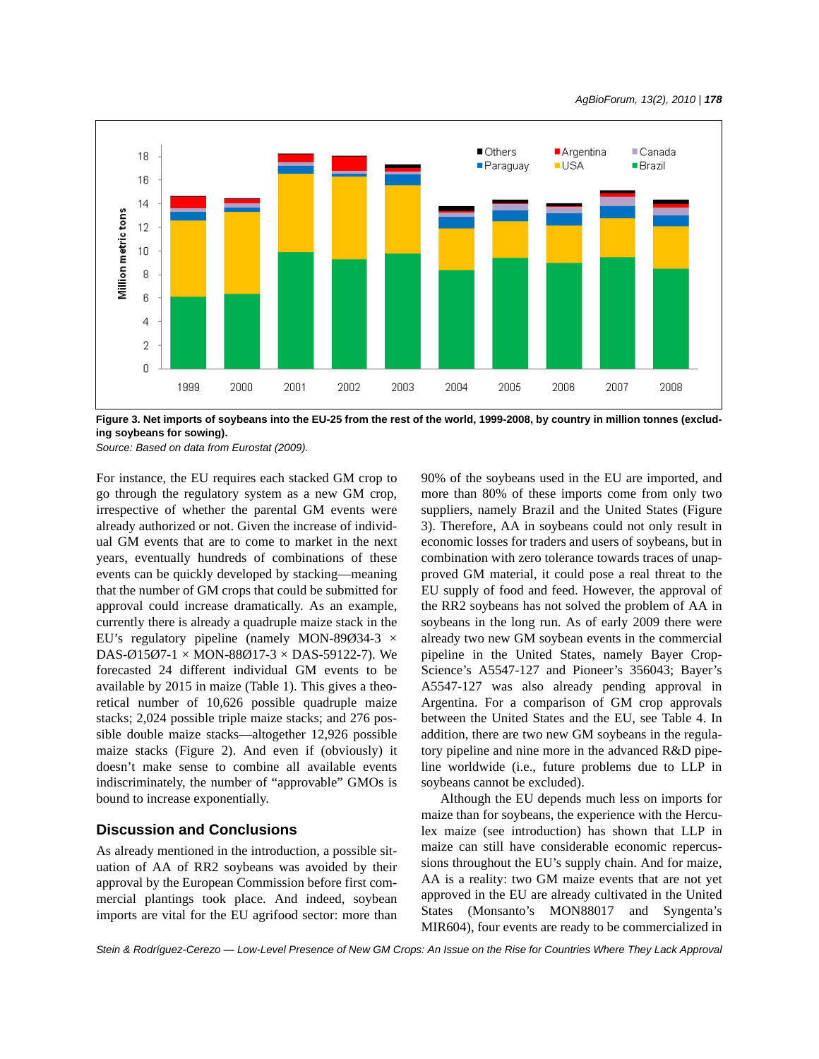

**Figure 3. Net imports of soybeans into the EU-25 from the rest of the world, 1999-2008, by country in million tonnes (excluding soybeans for sowing).**

*Source: Based on data from Eurostat (2009).*

For instance, the EU requires each stacked GM crop to go through the regulatory system as a new GM crop, irrespective of whether the parental GM events were already authorized or not. Given the increase of individual GM events that are to come to market in the next years, eventually hundreds of combinations of these events can be quickly developed by stacking—meaning that the number of GM crops that could be submitted for approval could increase dramatically. As an example, currently there is already a quadruple maize stack in the EU's regulatory pipeline (namely MON-89 $\varnothing$ 34-3  $\times$ DAS-Ø15Ø7-1  $\times$  MON-88Ø17-3  $\times$  DAS-59122-7). We forecasted 24 different individual GM events to be available by 2015 in maize (Table 1). This gives a theoretical number of 10,626 possible quadruple maize stacks; 2,024 possible triple maize stacks; and 276 possible double maize stacks—altogether 12,926 possible maize stacks (Figure 2). And even if (obviously) it doesn't make sense to combine all available events indiscriminately, the number of "approvable" GMOs is bound to increase exponentially.

## **Discussion and Conclusions**

As already mentioned in the introduction, a possible situation of AA of RR2 soybeans was avoided by their approval by the European Commission before first commercial plantings took place. And indeed, soybean imports are vital for the EU agrifood sector: more than 90% of the soybeans used in the EU are imported, and more than 80% of these imports come from only two suppliers, namely Brazil and the United States (Figure 3). Therefore, AA in soybeans could not only result in economic losses for traders and users of soybeans, but in combination with zero tolerance towards traces of unapproved GM material, it could pose a real threat to the EU supply of food and feed. However, the approval of the RR2 soybeans has not solved the problem of AA in soybeans in the long run. As of early 2009 there were already two new GM soybean events in the commercial pipeline in the United States, namely Bayer Crop-Science's A5547-127 and Pioneer's 356043; Bayer's A5547-127 was also already pending approval in Argentina. For a comparison of GM crop approvals between the United States and the EU, see Table 4. In addition, there are two new GM soybeans in the regulatory pipeline and nine more in the advanced R&D pipeline worldwide (i.e., future problems due to LLP in soybeans cannot be excluded).

Although the EU depends much less on imports for maize than for soybeans, the experience with the Herculex maize (see introduction) has shown that LLP in maize can still have considerable economic repercussions throughout the EU's supply chain. And for maize, AA is a reality: two GM maize events that are not yet approved in the EU are already cultivated in the United States (Monsanto's MON88017 and Syngenta's MIR604), four events are ready to be commercialized in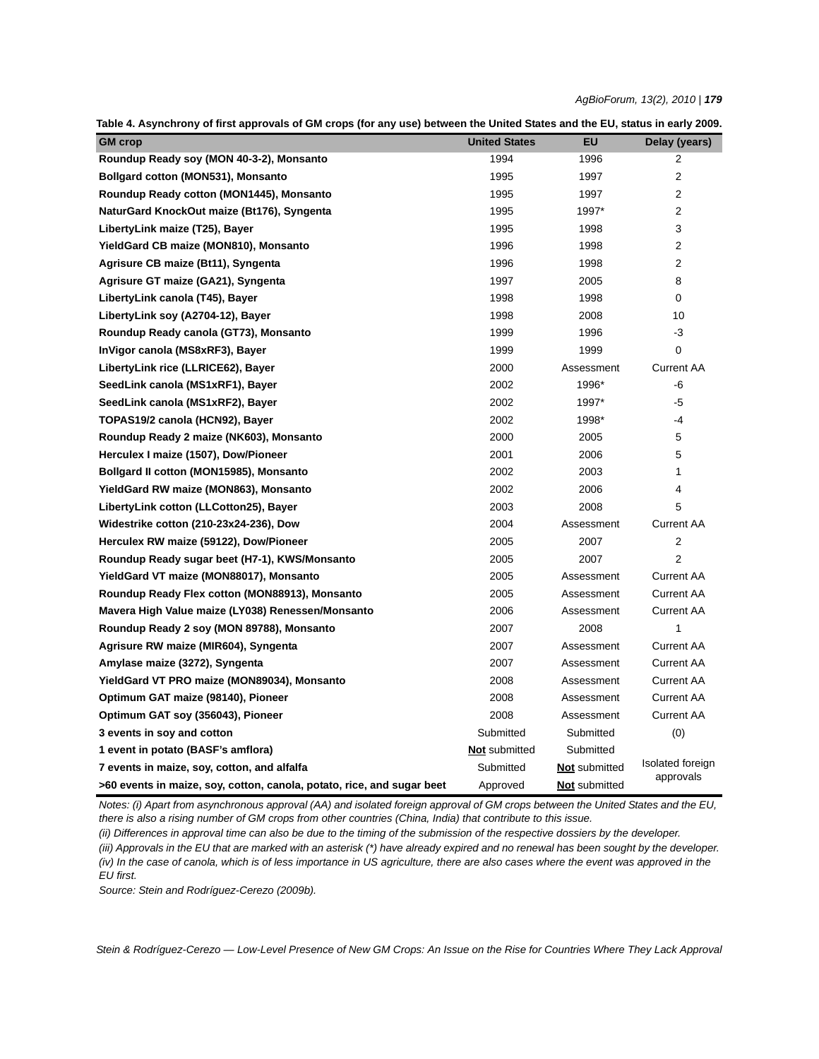|  |  |  | Table 4. Asynchrony of first approvals of GM crops (for any use) between the United States and the EU, status in early 2009. |  |  |
|--|--|--|------------------------------------------------------------------------------------------------------------------------------|--|--|
|  |  |  |                                                                                                                              |  |  |

| <b>GM</b> crop                                                         | <b>United States</b> | <b>EU</b>            | Delay (years)     |  |
|------------------------------------------------------------------------|----------------------|----------------------|-------------------|--|
| Roundup Ready soy (MON 40-3-2), Monsanto                               | 1994                 | 1996                 | 2                 |  |
| <b>Bollgard cotton (MON531), Monsanto</b>                              | 1995                 | 1997                 | 2                 |  |
| Roundup Ready cotton (MON1445), Monsanto                               | 1995                 | 1997                 | 2                 |  |
| NaturGard KnockOut maize (Bt176), Syngenta                             | 1995                 | 1997*                | 2                 |  |
| LibertyLink maize (T25), Bayer                                         | 1995                 | 1998                 | 3                 |  |
| YieldGard CB maize (MON810), Monsanto                                  | 1996                 | 1998                 | 2                 |  |
| Agrisure CB maize (Bt11), Syngenta                                     | 1996                 | 1998                 | 2                 |  |
| Agrisure GT maize (GA21), Syngenta                                     | 1997                 | 2005                 | 8                 |  |
| LibertyLink canola (T45), Bayer                                        | 1998                 | 1998                 | 0                 |  |
| LibertyLink soy (A2704-12), Bayer                                      | 1998                 | 2008                 | 10                |  |
| Roundup Ready canola (GT73), Monsanto                                  | 1999                 | 1996                 | -3                |  |
| InVigor canola (MS8xRF3), Bayer                                        | 1999                 | 1999                 | 0                 |  |
| LibertyLink rice (LLRICE62), Bayer                                     | 2000                 | Assessment           | <b>Current AA</b> |  |
| SeedLink canola (MS1xRF1), Bayer                                       | 2002                 | 1996*                | -6                |  |
| SeedLink canola (MS1xRF2), Bayer                                       | 2002                 | 1997*                | $-5$              |  |
| TOPAS19/2 canola (HCN92), Bayer                                        | 2002                 | 1998*                | -4                |  |
| Roundup Ready 2 maize (NK603), Monsanto                                | 2000                 | 2005                 | 5                 |  |
| Herculex I maize (1507), Dow/Pioneer                                   | 2001                 | 2006                 | 5                 |  |
| Bollgard II cotton (MON15985), Monsanto                                | 2002                 | 2003                 | 1                 |  |
| YieldGard RW maize (MON863), Monsanto                                  | 2002                 | 2006                 | 4                 |  |
| LibertyLink cotton (LLCotton25), Bayer                                 | 2003                 | 2008                 | 5                 |  |
| Widestrike cotton (210-23x24-236), Dow                                 | 2004                 | Assessment           | <b>Current AA</b> |  |
| Herculex RW maize (59122), Dow/Pioneer                                 | 2005                 | 2007                 | 2                 |  |
| Roundup Ready sugar beet (H7-1), KWS/Monsanto                          | 2005                 | 2007                 | 2                 |  |
| YieldGard VT maize (MON88017), Monsanto                                | 2005                 | Assessment           | <b>Current AA</b> |  |
| Roundup Ready Flex cotton (MON88913), Monsanto                         | 2005                 | Assessment           | <b>Current AA</b> |  |
| Mavera High Value maize (LY038) Renessen/Monsanto                      | 2006                 | Assessment           | <b>Current AA</b> |  |
| Roundup Ready 2 soy (MON 89788), Monsanto                              | 2007                 | 2008                 | 1                 |  |
| Agrisure RW maize (MIR604), Syngenta                                   | 2007                 | Assessment           | <b>Current AA</b> |  |
| Amylase maize (3272), Syngenta                                         | 2007                 | Assessment           | <b>Current AA</b> |  |
| YieldGard VT PRO maize (MON89034), Monsanto                            | 2008                 | Assessment           | Current AA        |  |
| Optimum GAT maize (98140), Pioneer                                     | 2008                 | Assessment           | <b>Current AA</b> |  |
| Optimum GAT soy (356043), Pioneer                                      | 2008                 | Assessment           | <b>Current AA</b> |  |
| 3 events in soy and cotton                                             | Submitted            | Submitted            | (0)               |  |
| 1 event in potato (BASF's amflora)                                     | <b>Not</b> submitted | Submitted            |                   |  |
| 7 events in maize, soy, cotton, and alfalfa                            | Submitted            | <b>Not</b> submitted | Isolated foreign  |  |
| >60 events in maize, soy, cotton, canola, potato, rice, and sugar beet | Approved             | <b>Not</b> submitted | approvals         |  |

*Notes: (i) Apart from asynchronous approval (AA) and isolated foreign approval of GM crops between the United States and the EU, there is also a rising number of GM crops from other countries (China, India) that contribute to this issue.* 

*(ii) Differences in approval time can also be due to the timing of the submission of the respective dossiers by the developer. (iii) Approvals in the EU that are marked with an asterisk (\*) have already expired and no renewal has been sought by the developer. (iv) In the case of canola, which is of less importance in US agriculture, there are also cases where the event was approved in the EU first.*

*Source: Stein and Rodríguez-Cerezo (2009b).*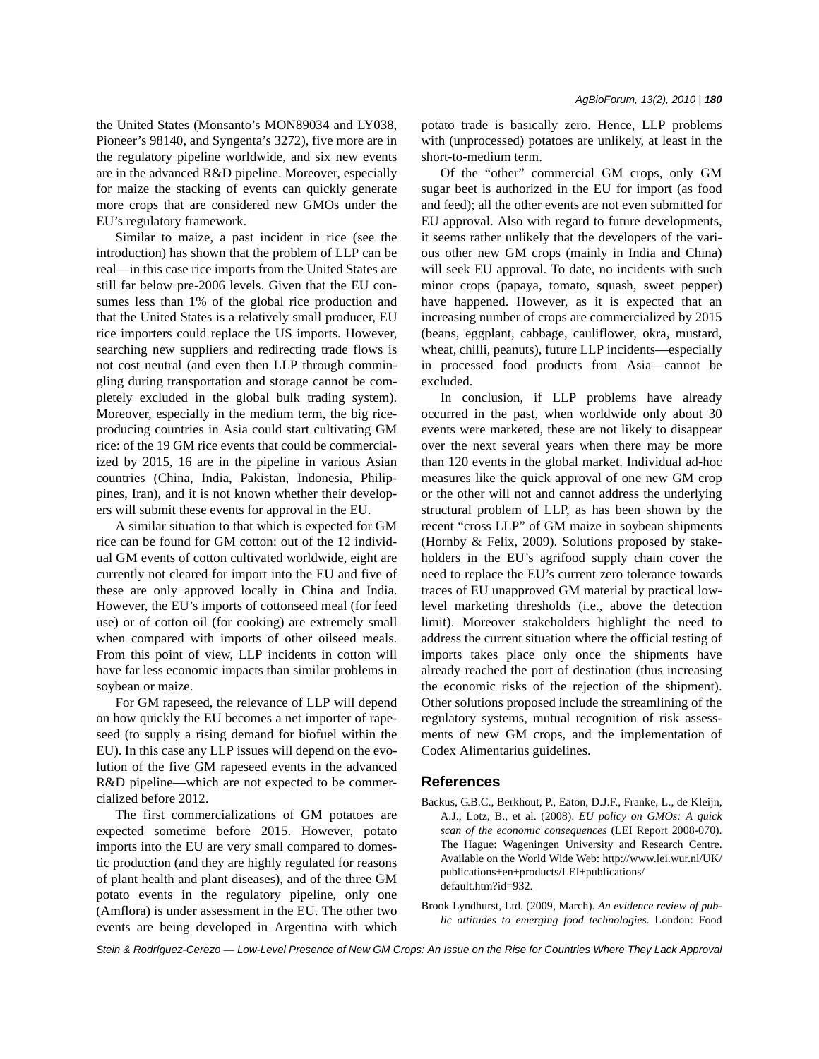the United States (Monsanto's MON89034 and LY038, Pioneer's 98140, and Syngenta's 3272), five more are in the regulatory pipeline worldwide, and six new events are in the advanced R&D pipeline. Moreover, especially for maize the stacking of events can quickly generate more crops that are considered new GMOs under the EU's regulatory framework.

Similar to maize, a past incident in rice (see the introduction) has shown that the problem of LLP can be real—in this case rice imports from the United States are still far below pre-2006 levels. Given that the EU consumes less than 1% of the global rice production and that the United States is a relatively small producer, EU rice importers could replace the US imports. However, searching new suppliers and redirecting trade flows is not cost neutral (and even then LLP through commingling during transportation and storage cannot be completely excluded in the global bulk trading system). Moreover, especially in the medium term, the big riceproducing countries in Asia could start cultivating GM rice: of the 19 GM rice events that could be commercialized by 2015, 16 are in the pipeline in various Asian countries (China, India, Pakistan, Indonesia, Philippines, Iran), and it is not known whether their developers will submit these events for approval in the EU.

A similar situation to that which is expected for GM rice can be found for GM cotton: out of the 12 individual GM events of cotton cultivated worldwide, eight are currently not cleared for import into the EU and five of these are only approved locally in China and India. However, the EU's imports of cottonseed meal (for feed use) or of cotton oil (for cooking) are extremely small when compared with imports of other oilseed meals. From this point of view, LLP incidents in cotton will have far less economic impacts than similar problems in soybean or maize.

For GM rapeseed, the relevance of LLP will depend on how quickly the EU becomes a net importer of rapeseed (to supply a rising demand for biofuel within the EU). In this case any LLP issues will depend on the evolution of the five GM rapeseed events in the advanced R&D pipeline—which are not expected to be commercialized before 2012.

The first commercializations of GM potatoes are expected sometime before 2015. However, potato imports into the EU are very small compared to domestic production (and they are highly regulated for reasons of plant health and plant diseases), and of the three GM potato events in the regulatory pipeline, only one (Amflora) is under assessment in the EU. The other two events are being developed in Argentina with which potato trade is basically zero. Hence, LLP problems with (unprocessed) potatoes are unlikely, at least in the short-to-medium term.

Of the "other" commercial GM crops, only GM sugar beet is authorized in the EU for import (as food and feed); all the other events are not even submitted for EU approval. Also with regard to future developments, it seems rather unlikely that the developers of the various other new GM crops (mainly in India and China) will seek EU approval. To date, no incidents with such minor crops (papaya, tomato, squash, sweet pepper) have happened. However, as it is expected that an increasing number of crops are commercialized by 2015 (beans, eggplant, cabbage, cauliflower, okra, mustard, wheat, chilli, peanuts), future LLP incidents—especially in processed food products from Asia—cannot be excluded.

In conclusion, if LLP problems have already occurred in the past, when worldwide only about 30 events were marketed, these are not likely to disappear over the next several years when there may be more than 120 events in the global market. Individual ad-hoc measures like the quick approval of one new GM crop or the other will not and cannot address the underlying structural problem of LLP, as has been shown by the recent "cross LLP" of GM maize in soybean shipments (Hornby & Felix, 2009). Solutions proposed by stakeholders in the EU's agrifood supply chain cover the need to replace the EU's current zero tolerance towards traces of EU unapproved GM material by practical lowlevel marketing thresholds (i.e., above the detection limit). Moreover stakeholders highlight the need to address the current situation where the official testing of imports takes place only once the shipments have already reached the port of destination (thus increasing the economic risks of the rejection of the shipment). Other solutions proposed include the streamlining of the regulatory systems, mutual recognition of risk assessments of new GM crops, and the implementation of Codex Alimentarius guidelines.

#### **References**

- Backus, G.B.C., Berkhout, P., Eaton, D.J.F., Franke, L., de Kleijn, A.J., Lotz, B., et al. (2008). *EU policy on GMOs: A quick scan of the economic consequences* (LEI Report 2008-070). The Hague: Wageningen University and Research Centre. Available on the World Wide Web: http://www.lei.wur.nl/UK/ publications+en+products/LEI+publications/ default.htm?id=932.
- Brook Lyndhurst, Ltd. (2009, March). *An evidence review of public attitudes to emerging food technologies*. London: Food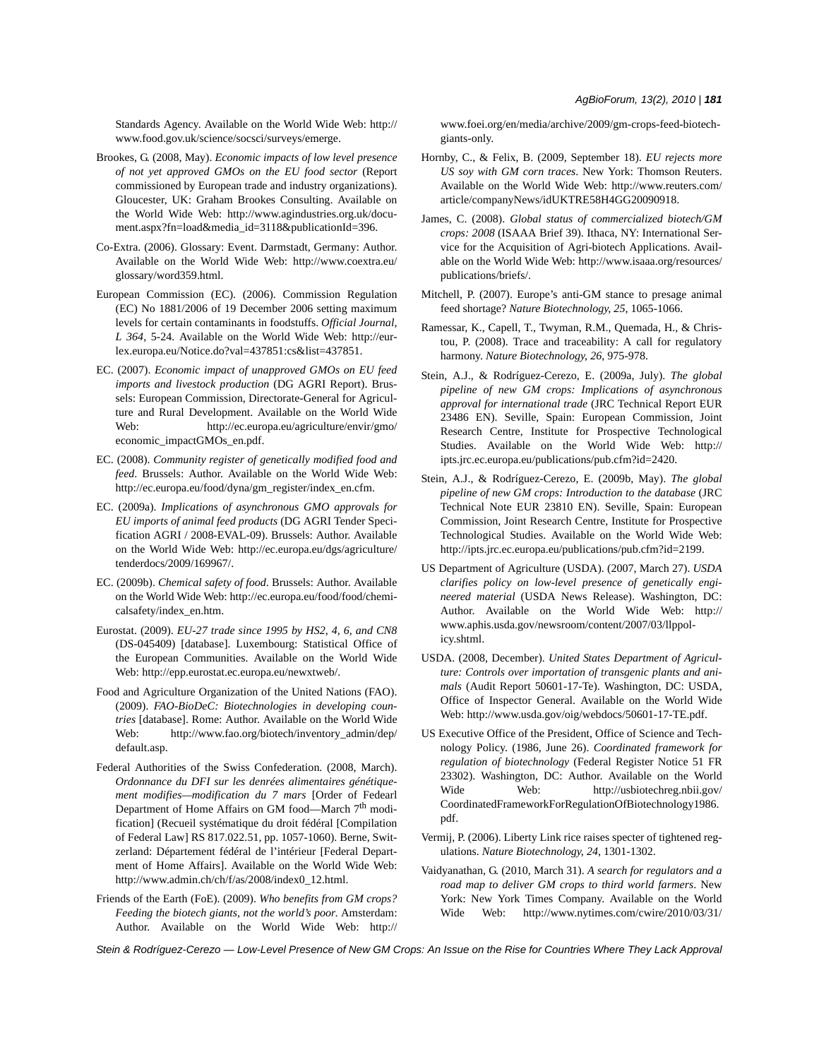Standards Agency. Available on the World Wide Web: http:// www.food.gov.uk/science/socsci/surveys/emerge.

- Brookes, G. (2008, May). *Economic impacts of low level presence of not yet approved GMOs on the EU food sector* (Report commissioned by European trade and industry organizations). Gloucester, UK: Graham Brookes Consulting. Available on the World Wide Web: http://www.agindustries.org.uk/document.aspx?fn=load&media\_id=3118&publicationId=396.
- Co-Extra. (2006). Glossary: Event. Darmstadt, Germany: Author. Available on the World Wide Web: http://www.coextra.eu/ glossary/word359.html.
- European Commission (EC). (2006). Commission Regulation (EC) No 1881/2006 of 19 December 2006 setting maximum levels for certain contaminants in foodstuffs. *Official Journal*, *L 364*, 5-24. Available on the World Wide Web: http://eurlex.europa.eu/Notice.do?val=437851:cs&list=437851.
- EC. (2007). *Economic impact of unapproved GMOs on EU feed imports and livestock production* (DG AGRI Report). Brussels: European Commission, Directorate-General for Agriculture and Rural Development. Available on the World Wide Web: http://ec.europa.eu/agriculture/envir/gmo/ economic\_impactGMOs\_en.pdf.
- EC. (2008). *Community register of genetically modified food and feed*. Brussels: Author. Available on the World Wide Web: http://ec.europa.eu/food/dyna/gm\_register/index\_en.cfm.
- EC. (2009a). *Implications of asynchronous GMO approvals for EU imports of animal feed products* (DG AGRI Tender Specification AGRI / 2008-EVAL-09). Brussels: Author. Available on the World Wide Web: http://ec.europa.eu/dgs/agriculture/ tenderdocs/2009/169967/.
- EC. (2009b). *Chemical safety of food*. Brussels: Author. Available on the World Wide Web: http://ec.europa.eu/food/food/chemicalsafety/index\_en.htm.
- Eurostat. (2009). *EU-27 trade since 1995 by HS2, 4, 6, and CN8* (DS-045409) [database]. Luxembourg: Statistical Office of the European Communities. Available on the World Wide Web: http://epp.eurostat.ec.europa.eu/newxtweb/.
- Food and Agriculture Organization of the United Nations (FAO). (2009). *FAO-BioDeC: Biotechnologies in developing countries* [database]. Rome: Author. Available on the World Wide Web: http://www.fao.org/biotech/inventory\_admin/dep/ default.asp.
- Federal Authorities of the Swiss Confederation. (2008, March). *Ordonnance du DFI sur les denrées alimentaires génétiquement modifies—modification du 7 mars* [Order of Fedearl Department of Home Affairs on GM food—March 7<sup>th</sup> modification] (Recueil systématique du droit fédéral [Compilation of Federal Law] RS 817.022.51, pp. 1057-1060). Berne, Switzerland: Département fédéral de l'intérieur [Federal Department of Home Affairs]. Available on the World Wide Web: http://www.admin.ch/ch/f/as/2008/index0\_12.html.
- Friends of the Earth (FoE). (2009). *Who benefits from GM crops? Feeding the biotech giants, not the world's poor*. Amsterdam: Author. Available on the World Wide Web: http://

www.foei.org/en/media/archive/2009/gm-crops-feed-biotechgiants-only.

- Hornby, C., & Felix, B. (2009, September 18). *EU rejects more US soy with GM corn traces*. New York: Thomson Reuters. Available on the World Wide Web: http://www.reuters.com/ article/companyNews/idUKTRE58H4GG20090918.
- James, C. (2008). *Global status of commercialized biotech/GM crops: 2008* (ISAAA Brief 39). Ithaca, NY: International Service for the Acquisition of Agri-biotech Applications. Available on the World Wide Web: http://www.isaaa.org/resources/ publications/briefs/.
- Mitchell, P. (2007). Europe's anti-GM stance to presage animal feed shortage? *Nature Biotechnology*, *25*, 1065-1066.
- Ramessar, K., Capell, T., Twyman, R.M., Quemada, H., & Christou, P. (2008). Trace and traceability: A call for regulatory harmony. *Nature Biotechnology*, *26*, 975-978.
- Stein, A.J., & Rodríguez-Cerezo, E. (2009a, July). *The global pipeline of new GM crops: Implications of asynchronous approval for international trade* (JRC Technical Report EUR 23486 EN). Seville, Spain: European Commission, Joint Research Centre, Institute for Prospective Technological Studies. Available on the World Wide Web: http:// ipts.jrc.ec.europa.eu/publications/pub.cfm?id=2420.
- Stein, A.J., & Rodríguez-Cerezo, E. (2009b, May). *The global pipeline of new GM crops: Introduction to the database* (JRC Technical Note EUR 23810 EN). Seville, Spain: European Commission, Joint Research Centre, Institute for Prospective Technological Studies. Available on the World Wide Web: http://ipts.jrc.ec.europa.eu/publications/pub.cfm?id=2199.
- US Department of Agriculture (USDA). (2007, March 27). *USDA clarifies policy on low-level presence of genetically engineered material* (USDA News Release). Washington, DC: Author. Available on the World Wide Web: http:// www.aphis.usda.gov/newsroom/content/2007/03/llppolicy.shtml.
- USDA. (2008, December). *United States Department of Agriculture: Controls over importation of transgenic plants and animals* (Audit Report 50601-17-Te). Washington, DC: USDA, Office of Inspector General. Available on the World Wide Web: http://www.usda.gov/oig/webdocs/50601-17-TE.pdf.
- US Executive Office of the President, Office of Science and Technology Policy. (1986, June 26). *Coordinated framework for regulation of biotechnology* (Federal Register Notice 51 FR 23302). Washington, DC: Author. Available on the World Wide Web: http://usbiotechreg.nbii.gov/ CoordinatedFrameworkForRegulationOfBiotechnology1986. pdf.
- Vermij, P. (2006). Liberty Link rice raises specter of tightened regulations. *Nature Biotechnology*, *24*, 1301-1302.
- Vaidyanathan, G. (2010, March 31). *A search for regulators and a road map to deliver GM crops to third world farmers*. New York: New York Times Company. Available on the World Wide Web: http://www.nytimes.com/cwire/2010/03/31/